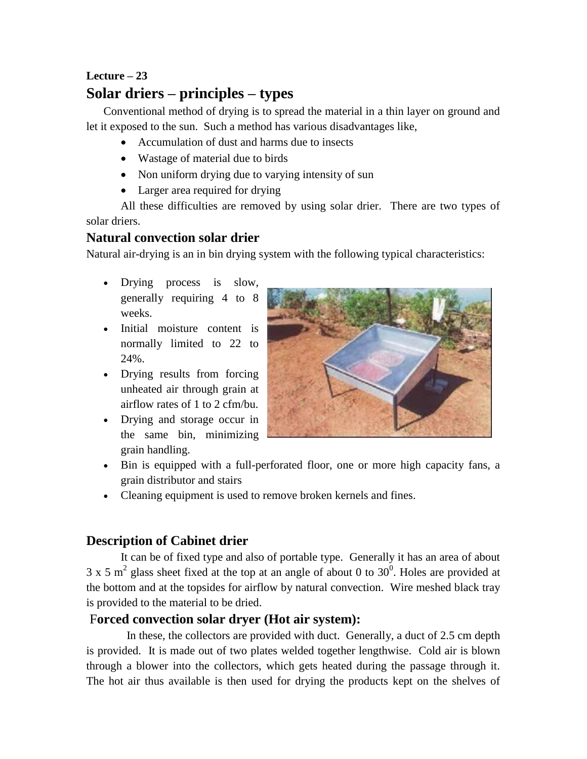## **Lecture – 23**

# **Solar driers – principles – types**

Conventional method of drying is to spread the material in a thin layer on ground and let it exposed to the sun. Such a method has various disadvantages like,

- Accumulation of dust and harms due to insects
- Wastage of material due to birds
- Non uniform drying due to varying intensity of sun
- Larger area required for drying

All these difficulties are removed by using solar drier. There are two types of solar driers.

#### **Natural convection solar drier**

Natural air-drying is an in bin drying system with the following typical characteristics:

- Drying process is slow, generally requiring 4 to 8 weeks.
- Initial moisture content is normally limited to 22 to 24%.
- Drying results from forcing unheated air through grain at airflow rates of 1 to 2 cfm/bu.
- Drying and storage occur in the same bin, minimizing grain handling.



- Bin is equipped with a full-perforated floor, one or more high capacity fans, a grain distributor and stairs
- Cleaning equipment is used to remove broken kernels and fines.

### **Description of Cabinet drier**

It can be of fixed type and also of portable type. Generally it has an area of about 3 x 5 m<sup>2</sup> glass sheet fixed at the top at an angle of about 0 to 30<sup>0</sup>. Holes are provided at the bottom and at the topsides for airflow by natural convection. Wire meshed black tray is provided to the material to be dried.

### F**orced convection solar dryer (Hot air system):**

 In these, the collectors are provided with duct. Generally, a duct of 2.5 cm depth is provided. It is made out of two plates welded together lengthwise. Cold air is blown through a blower into the collectors, which gets heated during the passage through it. The hot air thus available is then used for drying the products kept on the shelves of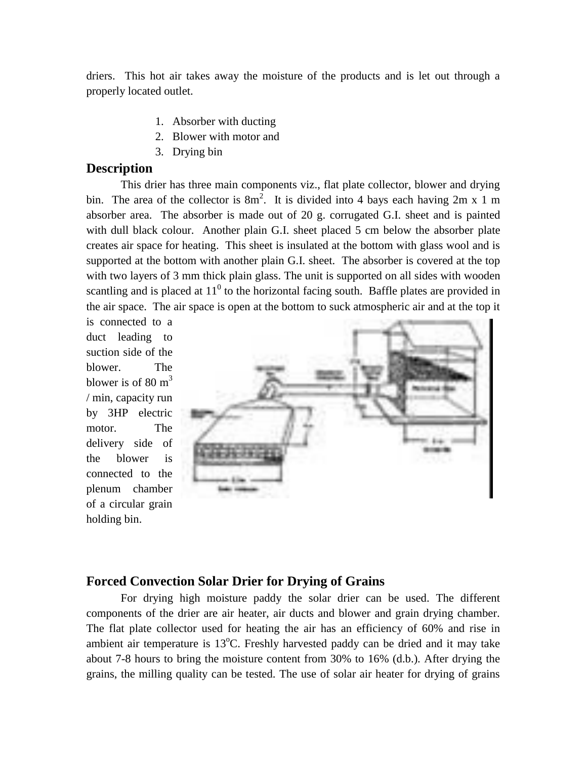driers. This hot air takes away the moisture of the products and is let out through a properly located outlet.

- 1. Absorber with ducting
- 2. Blower with motor and
- 3. Drying bin

#### **Description**

This drier has three main components viz., flat plate collector, blower and drying bin. The area of the collector is  $8m^2$ . It is divided into 4 bays each having  $2m \times 1 m$ absorber area. The absorber is made out of 20 g. corrugated G.I. sheet and is painted with dull black colour. Another plain G.I. sheet placed 5 cm below the absorber plate creates air space for heating. This sheet is insulated at the bottom with glass wool and is supported at the bottom with another plain G.I. sheet. The absorber is covered at the top with two layers of 3 mm thick plain glass. The unit is supported on all sides with wooden scantling and is placed at  $11<sup>0</sup>$  to the horizontal facing south. Baffle plates are provided in the air space. The air space is open at the bottom to suck atmospheric air and at the top it

is connected to a duct leading to suction side of the blower. The blower is of 80  $m<sup>3</sup>$ / min, capacity run by 3HP electric motor. The delivery side of the blower is connected to the plenum chamber of a circular grain holding bin.



#### **Forced Convection Solar Drier for Drying of Grains**

For drying high moisture paddy the solar drier can be used. The different components of the drier are air heater, air ducts and blower and grain drying chamber. The flat plate collector used for heating the air has an efficiency of 60% and rise in ambient air temperature is  $13^{\circ}$ C. Freshly harvested paddy can be dried and it may take about 7-8 hours to bring the moisture content from 30% to 16% (d.b.). After drying the grains, the milling quality can be tested. The use of solar air heater for drying of grains